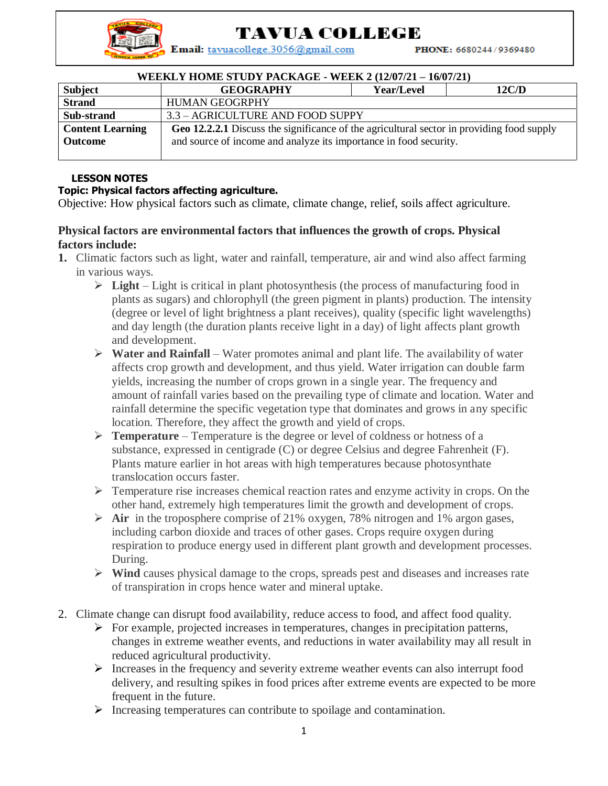TAVUA COLLEGE

Email: tavuacollege.3056@gmail.com

PHONE: 6680244/9369480

| <b>WEEKLY HOME STUDY PACKAGE - WEEK 2 (12/07/21 – 16/07/21)</b> |                                                                                           |            |       |
|-----------------------------------------------------------------|-------------------------------------------------------------------------------------------|------------|-------|
| <b>Subject</b>                                                  | <b>GEOGRAPHY</b>                                                                          | Year/Level | 12C/D |
| <b>Strand</b>                                                   | <b>HUMAN GEOGRPHY</b>                                                                     |            |       |
| Sub-strand                                                      | 3.3 - AGRICULTURE AND FOOD SUPPY                                                          |            |       |
| <b>Content Learning</b>                                         | Geo 12.2.2.1 Discuss the significance of the agricultural sector in providing food supply |            |       |
| <b>Outcome</b>                                                  | and source of income and analyze its importance in food security.                         |            |       |
|                                                                 |                                                                                           |            |       |

## **LESSON NOTES**

## **Topic: Physical factors affecting agriculture.**

Objective: How physical factors such as climate, climate change, relief, soils affect agriculture.

## **Physical factors are environmental factors that influences the growth of crops. Physical factors include:**

- **1.** Climatic factors such as light, water and rainfall, temperature, air and wind also affect farming in various ways.
	- **Light** Light is critical in plant photosynthesis (the process of manufacturing food in plants as sugars) and chlorophyll (the green pigment in plants) production. The intensity (degree or level of light brightness a plant receives), quality (specific light wavelengths) and day length (the duration plants receive light in a day) of light affects plant growth and development.
	- **Water and Rainfall** Water promotes animal and plant life. The availability of water affects crop growth and development, and thus yield. Water irrigation can double farm yields, increasing the number of crops grown in a single year. The frequency and amount of rainfall varies based on the prevailing type of climate and location. Water and rainfall determine the specific vegetation type that dominates and grows in any specific location. Therefore, they affect the growth and yield of crops.
	- **Temperature** Temperature is the degree or level of coldness or hotness of a substance, expressed in centigrade (C) or degree Celsius and degree Fahrenheit (F). Plants mature earlier in hot areas with high temperatures because photosynthate translocation occurs faster.
	- $\triangleright$  Temperature rise increases chemical reaction rates and enzyme activity in crops. On the other hand, extremely high temperatures limit the growth and development of crops.
	- **Air** in the troposphere comprise of 21% oxygen, 78% nitrogen and 1% argon gases, including carbon dioxide and traces of other gases. Crops require oxygen during respiration to produce energy used in different plant growth and development processes. During.
	- **Wind** causes physical damage to the crops, spreads pest and diseases and increases rate of transpiration in crops hence water and mineral uptake.
- 2. Climate change can disrupt food availability, reduce access to food, and affect food quality.
	- $\triangleright$  For example, projected increases in temperatures, changes in precipitation patterns, changes in extreme weather events, and reductions in water availability may all result in reduced agricultural productivity.
	- $\triangleright$  Increases in the frequency and severity extreme weather events can also interrupt food delivery, and resulting spikes in food prices after extreme events are expected to be more frequent in the future.
	- $\triangleright$  Increasing temperatures can contribute to spoilage and contamination.